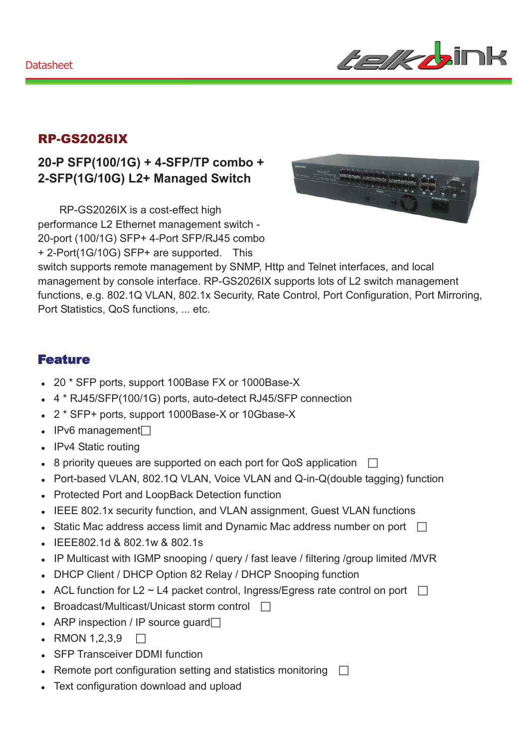

## RP-GS2026IX

### **20-P SFP(100/1G) + 4-SFP/TP combo + 2-SFP(1G/10G) L2+ Managed Switch**

RP-GS2026IX is a cost-effect high performance L2 Ethernet management switch - 20-port (100/1G) SFP+ 4-Port SFP/RJ45 combo + 2-Port(1G/10G) SFP+ are supported. This



switch supports remote management by SNMP, Http and Telnet interfaces, and local management by console interface. RP-GS2026IX supports lots of L2 switch management functions, e.g. 802.1Q VLAN, 802.1x Security, Rate Control, Port Configuration, Port Mirroring, Port Statistics, QoS functions, ... etc.

#### Feature

- 20 \* SFP ports, support 100Base FX or 1000Base-X
- 4 \* RJ45/SFP(100/1G) ports, auto-detect RJ45/SFP connection
- 2 \* SFP+ ports, support 1000Base-X or 10Gbase-X
- $\cdot$  IPv6 management $\Box$
- IPv4 Static routing
- 8 priority queues are supported on each port for QoS application  $\Box$
- Port-based VLAN, 802.1Q VLAN, Voice VLAN and Q-in-Q(double tagging) function
- Protected Port and LoopBack Detection function
- IEEE 802.1x security function, and VLAN assignment, Guest VLAN functions
- Static Mac address access limit and Dynamic Mac address number on port  $\Box$
- IEEE802.1d & 802.1w & 802.1s
- IP Multicast with IGMP snooping / query / fast leave / filtering / group limited / MVR
- DHCP Client / DHCP Option 82 Relay / DHCP Snooping function
- ACL function for L2  $\sim$  L4 packet control, Ingress/Egress rate control on port  $\Box$
- Broadcast/Multicast/Unicast storm control  $\Box$
- ARP inspection / IP source quard $\Box$
- $\bullet$  RMON 1,2,3,9  $\Box$
- SFP Transceiver DDMI function
- Remote port configuration setting and statistics monitoring  $\Box$
- Text configuration download and upload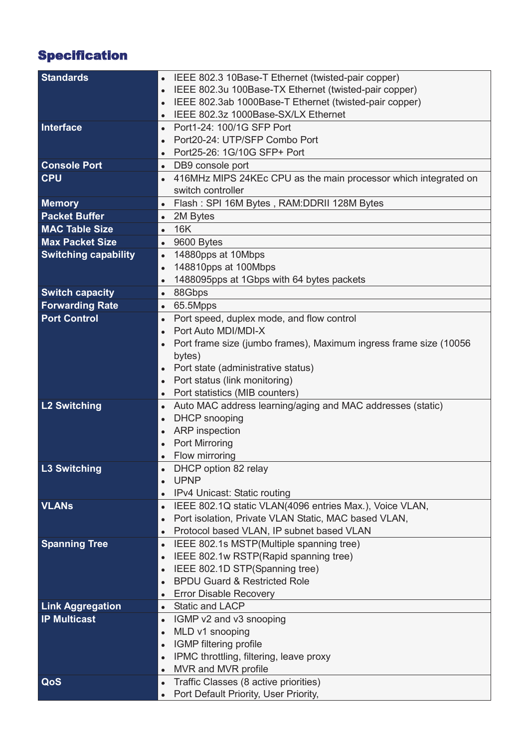# Specification

| <b>Standards</b>            | IEEE 802.3 10Base-T Ethernet (twisted-pair copper)                           |
|-----------------------------|------------------------------------------------------------------------------|
|                             | IEEE 802.3u 100Base-TX Ethernet (twisted-pair copper)                        |
|                             | IEEE 802.3ab 1000Base-T Ethernet (twisted-pair copper)                       |
|                             | IEEE 802.3z 1000Base-SX/LX Ethernet<br>$\bullet$                             |
| Interface                   | Port1-24: 100/1G SFP Port                                                    |
|                             | Port20-24: UTP/SFP Combo Port                                                |
|                             | Port25-26: 1G/10G SFP+ Port                                                  |
| <b>Console Port</b>         | • DB9 console port                                                           |
| <b>CPU</b>                  | 416MHz MIPS 24KEc CPU as the main processor which integrated on<br>$\bullet$ |
|                             | switch controller                                                            |
| <b>Memory</b>               | Flash: SPI 16M Bytes, RAM:DDRII 128M Bytes<br>$\bullet$                      |
| <b>Packet Buffer</b>        | • 2M Bytes                                                                   |
| <b>MAC Table Size</b>       | <b>16K</b><br>$\bullet$                                                      |
| <b>Max Packet Size</b>      | $\bullet$ 9600 Bytes                                                         |
| <b>Switching capability</b> | 14880pps at 10Mbps<br>$\bullet$                                              |
|                             | 148810pps at 100Mbps<br>$\bullet$                                            |
|                             | 1488095pps at 1Gbps with 64 bytes packets<br>$\bullet$                       |
| <b>Switch capacity</b>      | 88Gbps<br>$\bullet$                                                          |
| <b>Forwarding Rate</b>      | 65.5Mpps<br>$\bullet$                                                        |
| <b>Port Control</b>         | Port speed, duplex mode, and flow control                                    |
|                             | Port Auto MDI/MDI-X                                                          |
|                             | Port frame size (jumbo frames), Maximum ingress frame size (10056            |
|                             | bytes)                                                                       |
|                             | Port state (administrative status)                                           |
|                             | Port status (link monitoring)                                                |
|                             | Port statistics (MIB counters)<br>$\bullet$                                  |
| <b>L2 Switching</b>         | Auto MAC address learning/aging and MAC addresses (static)<br>$\bullet$      |
|                             | <b>DHCP</b> snooping                                                         |
|                             | <b>ARP</b> inspection<br>$\bullet$                                           |
|                             | Port Mirroring                                                               |
|                             | Flow mirroring                                                               |
| <b>L3 Switching</b>         | DHCP option 82 relay                                                         |
|                             | <b>UPNP</b>                                                                  |
|                             | IPv4 Unicast: Static routing<br>$\bullet$                                    |
| <b>VLANS</b>                | IEEE 802.1Q static VLAN(4096 entries Max.), Voice VLAN,<br>$\bullet$         |
|                             | Port isolation, Private VLAN Static, MAC based VLAN,                         |
|                             | Protocol based VLAN, IP subnet based VLAN<br>$\bullet$                       |
| <b>Spanning Tree</b>        | IEEE 802.1s MSTP(Multiple spanning tree)<br>$\bullet$                        |
|                             | IEEE 802.1w RSTP(Rapid spanning tree)                                        |
|                             | IEEE 802.1D STP(Spanning tree)                                               |
|                             | <b>BPDU Guard &amp; Restricted Role</b>                                      |
|                             | <b>Error Disable Recovery</b>                                                |
| <b>Link Aggregation</b>     | • Static and LACP                                                            |
| <b>IP Multicast</b>         | IGMP v2 and v3 snooping<br>$\bullet$                                         |
|                             | MLD v1 snooping<br>$\bullet$                                                 |
|                             | IGMP filtering profile                                                       |
|                             | IPMC throttling, filtering, leave proxy                                      |
|                             | MVR and MVR profile<br>$\bullet$                                             |
| QoS                         | Traffic Classes (8 active priorities)<br>$\bullet$                           |
|                             | Port Default Priority, User Priority,<br>$\bullet$                           |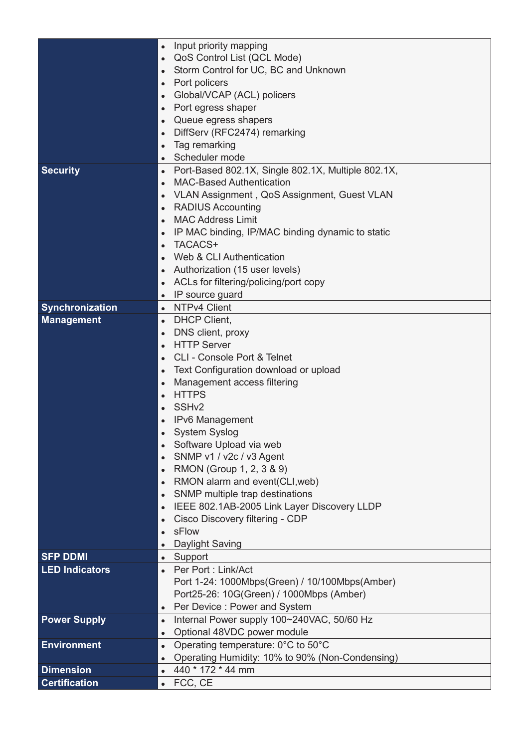|                       | Input priority mapping<br>$\bullet$                                                                |
|-----------------------|----------------------------------------------------------------------------------------------------|
|                       | QoS Control List (QCL Mode)                                                                        |
|                       | Storm Control for UC, BC and Unknown                                                               |
|                       | Port policers<br>$\bullet$                                                                         |
|                       | Global/VCAP (ACL) policers                                                                         |
|                       | Port egress shaper                                                                                 |
|                       | Queue egress shapers                                                                               |
|                       | DiffServ (RFC2474) remarking                                                                       |
|                       | Tag remarking                                                                                      |
|                       | Scheduler mode<br>$\bullet$                                                                        |
| <b>Security</b>       | Port-Based 802.1X, Single 802.1X, Multiple 802.1X,<br>$\bullet$<br><b>MAC-Based Authentication</b> |
|                       |                                                                                                    |
|                       | VLAN Assignment, QoS Assignment, Guest VLAN                                                        |
|                       | <b>RADIUS Accounting</b><br>$\bullet$<br><b>MAC Address Limit</b>                                  |
|                       |                                                                                                    |
|                       | IP MAC binding, IP/MAC binding dynamic to static<br>TACACS+                                        |
|                       | Web & CLI Authentication                                                                           |
|                       |                                                                                                    |
|                       | Authorization (15 user levels)                                                                     |
|                       | ACLs for filtering/policing/port copy                                                              |
|                       | IP source guard<br>$\bullet$<br>• NTPv4 Client                                                     |
| Synchronization       | <b>DHCP Client,</b>                                                                                |
| <b>Management</b>     | $\bullet$<br>DNS client, proxy                                                                     |
|                       | $\bullet$<br><b>HTTP Server</b>                                                                    |
|                       | $\bullet$<br><b>CLI - Console Port &amp; Telnet</b>                                                |
|                       |                                                                                                    |
|                       | Text Configuration download or upload<br>$\bullet$                                                 |
|                       | Management access filtering<br>$\bullet$<br><b>HTTPS</b>                                           |
|                       | SSH <sub>v2</sub>                                                                                  |
|                       | IPv6 Management                                                                                    |
|                       | System Syslog                                                                                      |
|                       | Software Upload via web                                                                            |
|                       | SNMP v1 / v2c / v3 Agent                                                                           |
|                       | RMON (Group 1, 2, 3 & 9)                                                                           |
|                       | RMON alarm and event(CLI, web)                                                                     |
|                       | SNMP multiple trap destinations<br>$\bullet$                                                       |
|                       | IEEE 802.1AB-2005 Link Layer Discovery LLDP                                                        |
|                       | Cisco Discovery filtering - CDP                                                                    |
|                       | sFlow                                                                                              |
|                       | Daylight Saving                                                                                    |
| <b>SFP DDMI</b>       | • Support                                                                                          |
| <b>LED Indicators</b> | Per Port: Link/Act                                                                                 |
|                       | Port 1-24: 1000Mbps(Green) / 10/100Mbps(Amber)                                                     |
|                       | Port25-26: 10G(Green) / 1000Mbps (Amber)                                                           |
|                       | Per Device: Power and System<br>$\bullet$                                                          |
| <b>Power Supply</b>   | Internal Power supply 100~240VAC, 50/60 Hz<br>$\bullet$                                            |
|                       | Optional 48VDC power module<br>$\bullet$                                                           |
| <b>Environment</b>    | Operating temperature: 0°C to 50°C<br>$\bullet$                                                    |
|                       | Operating Humidity: 10% to 90% (Non-Condensing)<br>$\bullet$                                       |
| <b>Dimension</b>      | 440 * 172 * 44 mm                                                                                  |
| <b>Certification</b>  | $\bullet$ FCC, CE                                                                                  |